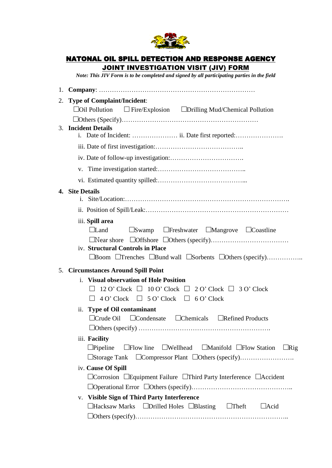

## NATONAL OIL SPILL DETECTION AND RESPONSE AGENCY JOINT INVESTIGATION VISIT (JIV) FORM

| Note: This JIV Form is to be completed and signed by all participating parties in the field                                                                                                        |
|----------------------------------------------------------------------------------------------------------------------------------------------------------------------------------------------------|
|                                                                                                                                                                                                    |
| 2. Type of Complaint/Incident:<br>$\Box$ Oil Pollution $\Box$ Fire/Explosion $\Box$ Drilling Mud/Chemical Pollution                                                                                |
| 3. Incident Details                                                                                                                                                                                |
|                                                                                                                                                                                                    |
|                                                                                                                                                                                                    |
|                                                                                                                                                                                                    |
|                                                                                                                                                                                                    |
|                                                                                                                                                                                                    |
| 4. Site Details<br>1.                                                                                                                                                                              |
|                                                                                                                                                                                                    |
| iii. Spill area<br>$\Box$ Freshwater $\Box$ Mangrove $\Box$ Coastline<br>$\Box$ Land<br>$\Box$ Swamp<br>iv. Structural Controls in Place<br>□Boom □Trenches □Bund wall □Sorbents □Others (specify) |
| 5. Circumstances Around Spill Point                                                                                                                                                                |
| <b>Visual observation of Hole Position</b><br>$\mathbf{i}$ .<br>$\Box$ 12 O'Clock $\Box$ 10 O'Clock $\Box$ 2 O'Clock $\Box$ 3 O'Clock                                                              |
| $\Box$ 4 O'Clock $\Box$ 5 O'Clock $\Box$ 6 O'Clock                                                                                                                                                 |
| <b>Type of Oil contaminant</b><br>ii.<br>$\Box$ Condensate $\Box$ Chemicals $\Box$ Refined Products<br>$\Box$ Crude Oil                                                                            |
|                                                                                                                                                                                                    |
| iii. Facility<br>$\Box$ Pipeline<br>$\Box$ Wellhead $\Box$ Manifold $\Box$ Flow Station<br>$\Box$ Flow line<br>$\Box$ Rig                                                                          |
| □Storage Tank □ Compressor Plant □ Others (specify)                                                                                                                                                |
| iv. Cause Of Spill<br>$\Box$ Corrosion $\Box$ Equipment Failure $\Box$ Third Party Interference $\Box$ Accident                                                                                    |
|                                                                                                                                                                                                    |
| <b>Visible Sign of Third Party Interference</b><br>V.                                                                                                                                              |
| $\Box$ Drilled Holes $\Box$ Blasting<br>$\Box$ Hacksaw Marks<br>$\Box$ Theft<br>$\Box$ Acid                                                                                                        |
|                                                                                                                                                                                                    |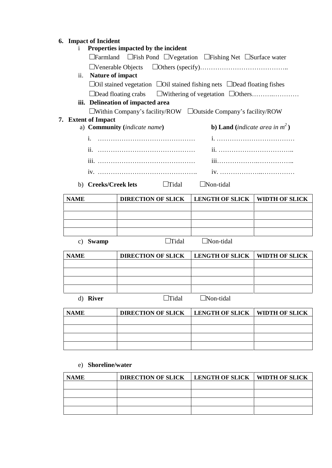## **6. Impact of Incident**

| $\mathbf{i}$                                                                                    |                                                                                                                                             | Properties impacted by the incident |                                                    |                       |  |  |
|-------------------------------------------------------------------------------------------------|---------------------------------------------------------------------------------------------------------------------------------------------|-------------------------------------|----------------------------------------------------|-----------------------|--|--|
|                                                                                                 | $\Box$ Farmland                                                                                                                             |                                     | □Fish Pond □Vegetation □Fishing Net □Surface water |                       |  |  |
|                                                                                                 | $\Box$ Venerable Objects                                                                                                                    |                                     |                                                    |                       |  |  |
| ii.                                                                                             | Nature of impact<br>$\Box$ Oil stained vegetation $\Box$ Oil stained fishing nets $\Box$ Dead floating fishes<br>$\Box$ Dead floating crabs |                                     |                                                    |                       |  |  |
|                                                                                                 |                                                                                                                                             |                                     |                                                    |                       |  |  |
|                                                                                                 |                                                                                                                                             |                                     |                                                    |                       |  |  |
|                                                                                                 |                                                                                                                                             | iii. Delineation of impacted area   |                                                    |                       |  |  |
|                                                                                                 | □Within Company's facility/ROW □Outside Company's facility/ROW                                                                              |                                     |                                                    |                       |  |  |
| 7. Extent of Impact<br><b>b)</b> Land (indicate area in $m^2$ )<br>a) Community (indicate name) |                                                                                                                                             |                                     |                                                    |                       |  |  |
|                                                                                                 |                                                                                                                                             |                                     |                                                    |                       |  |  |
|                                                                                                 |                                                                                                                                             |                                     |                                                    |                       |  |  |
|                                                                                                 |                                                                                                                                             |                                     |                                                    |                       |  |  |
|                                                                                                 |                                                                                                                                             |                                     |                                                    |                       |  |  |
|                                                                                                 | b) Creeks/Creek lets<br>$\Box$ Non-tidal<br>$\Box$ Tidal                                                                                    |                                     |                                                    |                       |  |  |
| <b>NAME</b>                                                                                     |                                                                                                                                             | <b>DIRECTION OF SLICK</b>           | <b>LENGTH OF SLICK</b>                             | <b>WIDTH OF SLICK</b> |  |  |
|                                                                                                 |                                                                                                                                             |                                     |                                                    |                       |  |  |
|                                                                                                 |                                                                                                                                             |                                     |                                                    |                       |  |  |
|                                                                                                 |                                                                                                                                             |                                     |                                                    |                       |  |  |
|                                                                                                 | c) Swamp                                                                                                                                    | $\Box$ Tidal                        | $\Box$ Non-tidal                                   |                       |  |  |
| <b>NAME</b>                                                                                     |                                                                                                                                             |                                     |                                                    |                       |  |  |
|                                                                                                 |                                                                                                                                             | <b>DIRECTION OF SLICK</b>           | <b>LENGTH OF SLICK</b>                             | <b>WIDTH OF SLICK</b> |  |  |
|                                                                                                 |                                                                                                                                             |                                     |                                                    |                       |  |  |
|                                                                                                 |                                                                                                                                             |                                     |                                                    |                       |  |  |
|                                                                                                 |                                                                                                                                             |                                     |                                                    |                       |  |  |
|                                                                                                 |                                                                                                                                             |                                     |                                                    |                       |  |  |
|                                                                                                 | d) River                                                                                                                                    | $\Box$ Tidal                        | $\Box$ Non-tidal                                   |                       |  |  |
| <b>NAME</b>                                                                                     |                                                                                                                                             | <b>DIRECTION OF SLICK</b>           | <b>LENGTH OF SLICK</b>                             | <b>WIDTH OF SLICK</b> |  |  |
|                                                                                                 |                                                                                                                                             |                                     |                                                    |                       |  |  |
|                                                                                                 |                                                                                                                                             |                                     |                                                    |                       |  |  |
|                                                                                                 |                                                                                                                                             |                                     |                                                    |                       |  |  |

## e) **Shoreline/water**

| <b>NAME</b> | <b>DIRECTION OF SLICK</b> | LENGTH OF SLICK   WIDTH OF SLICK |  |
|-------------|---------------------------|----------------------------------|--|
|             |                           |                                  |  |
|             |                           |                                  |  |
|             |                           |                                  |  |
|             |                           |                                  |  |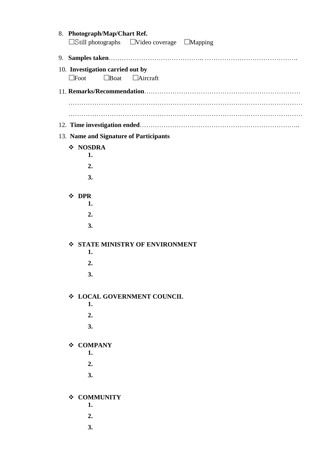| 8. Photograph/Map/Chart Ref.                     |
|--------------------------------------------------|
| □Still photographs □Video coverage □Mapping      |
|                                                  |
| 10. Investigation carried out by                 |
| $\Box$ Boat<br>$\Box$ Aircraft<br>$\square$ Foot |
|                                                  |
|                                                  |
|                                                  |
|                                                  |
| 13. Name and Signature of Participants           |
| ❖ NOSDRA                                         |
| 1.                                               |
| 2.                                               |
| 3.                                               |
| ❖ DPR                                            |
| 1.                                               |
| 2.                                               |
| 3.                                               |
|                                                  |
| <b>STATE MINISTRY OF ENVIRONMENT</b><br>❖<br>1.  |
| 2.                                               |
| 3.                                               |
|                                                  |
| ❖ LOCAL GOVERNMENT COUNCIL                       |
| 1.                                               |
| 2.                                               |
| 3.                                               |
|                                                  |
| ❖ COMPANY<br>1.                                  |
| 2.                                               |
| 3.                                               |
|                                                  |
| <b>COMMUNITY</b><br>❖                            |
| 1.                                               |
| 2.                                               |
| 3.                                               |
|                                                  |